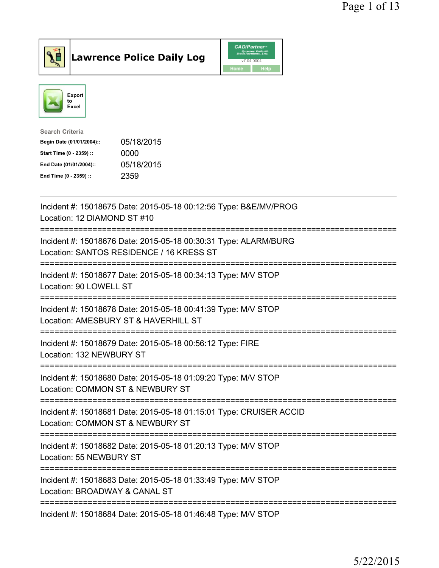

**Lawrence Police Daily Log** 



| <b>Search Criteria</b>    |            |
|---------------------------|------------|
| Begin Date (01/01/2004):: | 05/18/2015 |
| Start Time (0 - 2359) ::  | 0000       |
| End Date (01/01/2004)::   | 05/18/2015 |
| End Time (0 - 2359) ::    | 2359       |

| Incident #: 15018675 Date: 2015-05-18 00:12:56 Type: B&E/MV/PROG<br>Location: 12 DIAMOND ST #10                                      |
|--------------------------------------------------------------------------------------------------------------------------------------|
| Incident #: 15018676 Date: 2015-05-18 00:30:31 Type: ALARM/BURG<br>Location: SANTOS RESIDENCE / 16 KRESS ST                          |
| Incident #: 15018677 Date: 2015-05-18 00:34:13 Type: M/V STOP<br>Location: 90 LOWELL ST                                              |
| Incident #: 15018678 Date: 2015-05-18 00:41:39 Type: M/V STOP<br>Location: AMESBURY ST & HAVERHILL ST<br>-----------------------     |
| Incident #: 15018679 Date: 2015-05-18 00:56:12 Type: FIRE<br>Location: 132 NEWBURY ST<br>-----------------                           |
| Incident #: 15018680 Date: 2015-05-18 01:09:20 Type: M/V STOP<br>Location: COMMON ST & NEWBURY ST                                    |
| --------------------------<br>Incident #: 15018681 Date: 2015-05-18 01:15:01 Type: CRUISER ACCID<br>Location: COMMON ST & NEWBURY ST |
| -------------------------<br>Incident #: 15018682 Date: 2015-05-18 01:20:13 Type: M/V STOP<br>Location: 55 NEWBURY ST                |
| Incident #: 15018683 Date: 2015-05-18 01:33:49 Type: M/V STOP<br>Location: BROADWAY & CANAL ST                                       |
| Incident #: 15018684 Date: 2015-05-18 01:46:48 Type: M/V STOP                                                                        |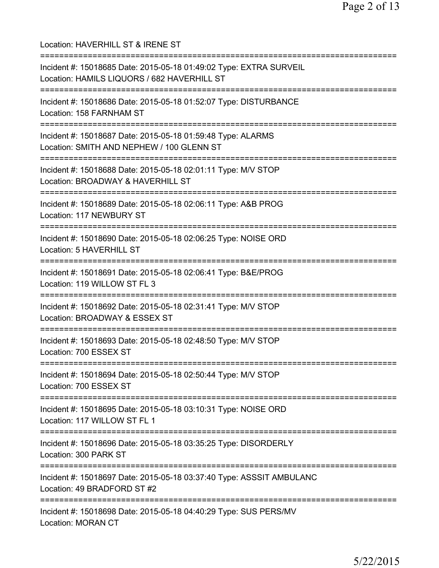Location: HAVERHILL ST & IRENE ST =========================================================================== Incident #: 15018685 Date: 2015-05-18 01:49:02 Type: EXTRA SURVEIL Location: HAMILS LIQUORS / 682 HAVERHILL ST =========================================================================== Incident #: 15018686 Date: 2015-05-18 01:52:07 Type: DISTURBANCE Location: 158 FARNHAM ST =========================================================================== Incident #: 15018687 Date: 2015-05-18 01:59:48 Type: ALARMS Location: SMITH AND NEPHEW / 100 GLENN ST =========================================================================== Incident #: 15018688 Date: 2015-05-18 02:01:11 Type: M/V STOP Location: BROADWAY & HAVERHILL ST =========================================================================== Incident #: 15018689 Date: 2015-05-18 02:06:11 Type: A&B PROG Location: 117 NEWBURY ST =========================================================================== Incident #: 15018690 Date: 2015-05-18 02:06:25 Type: NOISE ORD Location: 5 HAVERHILL ST =========================================================================== Incident #: 15018691 Date: 2015-05-18 02:06:41 Type: B&E/PROG Location: 119 WILLOW ST FL 3 =========================================================================== Incident #: 15018692 Date: 2015-05-18 02:31:41 Type: M/V STOP Location: BROADWAY & ESSEX ST =========================================================================== Incident #: 15018693 Date: 2015-05-18 02:48:50 Type: M/V STOP Location: 700 ESSEX ST =========================================================================== Incident #: 15018694 Date: 2015-05-18 02:50:44 Type: M/V STOP Location: 700 ESSEX ST =========================================================================== Incident #: 15018695 Date: 2015-05-18 03:10:31 Type: NOISE ORD Location: 117 WILLOW ST FL 1 =========================================================================== Incident #: 15018696 Date: 2015-05-18 03:35:25 Type: DISORDERLY Location: 300 PARK ST =========================================================================== Incident #: 15018697 Date: 2015-05-18 03:37:40 Type: ASSSIT AMBULANC Location: 49 BRADFORD ST #2 =========================================================================== Incident #: 15018698 Date: 2015-05-18 04:40:29 Type: SUS PERS/MV Location: MORAN CT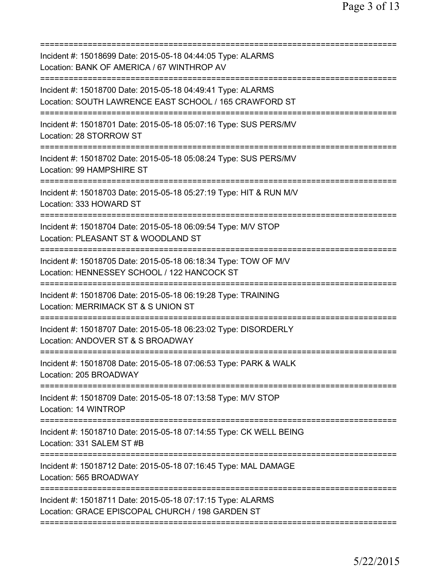| Incident #: 15018699 Date: 2015-05-18 04:44:05 Type: ALARMS<br>Location: BANK OF AMERICA / 67 WINTHROP AV                                            |
|------------------------------------------------------------------------------------------------------------------------------------------------------|
| Incident #: 15018700 Date: 2015-05-18 04:49:41 Type: ALARMS<br>Location: SOUTH LAWRENCE EAST SCHOOL / 165 CRAWFORD ST<br>=========================== |
| Incident #: 15018701 Date: 2015-05-18 05:07:16 Type: SUS PERS/MV<br>Location: 28 STORROW ST                                                          |
| Incident #: 15018702 Date: 2015-05-18 05:08:24 Type: SUS PERS/MV<br>Location: 99 HAMPSHIRE ST                                                        |
| Incident #: 15018703 Date: 2015-05-18 05:27:19 Type: HIT & RUN M/V<br>Location: 333 HOWARD ST                                                        |
| Incident #: 15018704 Date: 2015-05-18 06:09:54 Type: M/V STOP<br>Location: PLEASANT ST & WOODLAND ST                                                 |
| Incident #: 15018705 Date: 2015-05-18 06:18:34 Type: TOW OF M/V<br>Location: HENNESSEY SCHOOL / 122 HANCOCK ST                                       |
| Incident #: 15018706 Date: 2015-05-18 06:19:28 Type: TRAINING<br>Location: MERRIMACK ST & S UNION ST                                                 |
| Incident #: 15018707 Date: 2015-05-18 06:23:02 Type: DISORDERLY<br>Location: ANDOVER ST & S BROADWAY                                                 |
| Incident #: 15018708 Date: 2015-05-18 07:06:53 Type: PARK & WALK<br>Location: 205 BROADWAY                                                           |
| Incident #: 15018709 Date: 2015-05-18 07:13:58 Type: M/V STOP<br>Location: 14 WINTROP                                                                |
| Incident #: 15018710 Date: 2015-05-18 07:14:55 Type: CK WELL BEING<br>Location: 331 SALEM ST #B                                                      |
| Incident #: 15018712 Date: 2015-05-18 07:16:45 Type: MAL DAMAGE<br>Location: 565 BROADWAY                                                            |
| Incident #: 15018711 Date: 2015-05-18 07:17:15 Type: ALARMS<br>Location: GRACE EPISCOPAL CHURCH / 198 GARDEN ST                                      |
|                                                                                                                                                      |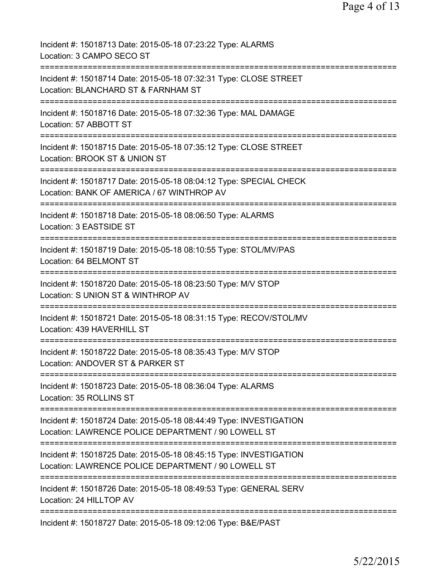| Incident #: 15018713 Date: 2015-05-18 07:23:22 Type: ALARMS<br>Location: 3 CAMPO SECO ST                                                                   |
|------------------------------------------------------------------------------------------------------------------------------------------------------------|
| Incident #: 15018714 Date: 2015-05-18 07:32:31 Type: CLOSE STREET<br>Location: BLANCHARD ST & FARNHAM ST                                                   |
| Incident #: 15018716 Date: 2015-05-18 07:32:36 Type: MAL DAMAGE<br>Location: 57 ABBOTT ST                                                                  |
| Incident #: 15018715 Date: 2015-05-18 07:35:12 Type: CLOSE STREET<br>Location: BROOK ST & UNION ST                                                         |
| Incident #: 15018717 Date: 2015-05-18 08:04:12 Type: SPECIAL CHECK<br>Location: BANK OF AMERICA / 67 WINTHROP AV                                           |
| Incident #: 15018718 Date: 2015-05-18 08:06:50 Type: ALARMS<br>Location: 3 EASTSIDE ST                                                                     |
| Incident #: 15018719 Date: 2015-05-18 08:10:55 Type: STOL/MV/PAS<br>Location: 64 BELMONT ST<br>;==================================                         |
| Incident #: 15018720 Date: 2015-05-18 08:23:50 Type: M/V STOP<br>Location: S UNION ST & WINTHROP AV                                                        |
| Incident #: 15018721 Date: 2015-05-18 08:31:15 Type: RECOV/STOL/MV<br>Location: 439 HAVERHILL ST                                                           |
| Incident #: 15018722 Date: 2015-05-18 08:35:43 Type: M/V STOP<br>Location: ANDOVER ST & PARKER ST                                                          |
| Incident #: 15018723 Date: 2015-05-18 08:36:04 Type: ALARMS<br>Location: 35 ROLLINS ST                                                                     |
| =============================<br>Incident #: 15018724 Date: 2015-05-18 08:44:49 Type: INVESTIGATION<br>Location: LAWRENCE POLICE DEPARTMENT / 90 LOWELL ST |
| Incident #: 15018725 Date: 2015-05-18 08:45:15 Type: INVESTIGATION<br>Location: LAWRENCE POLICE DEPARTMENT / 90 LOWELL ST                                  |
| Incident #: 15018726 Date: 2015-05-18 08:49:53 Type: GENERAL SERV<br>Location: 24 HILLTOP AV                                                               |
| Incident #: 15018727 Date: 2015-05-18 09:12:06 Type: B&E/PAST                                                                                              |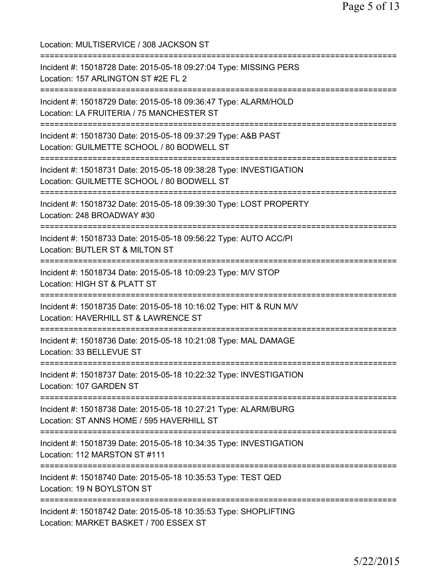Location: MULTISERVICE / 308 JACKSON ST =========================================================================== Incident #: 15018728 Date: 2015-05-18 09:27:04 Type: MISSING PERS Location: 157 ARLINGTON ST #2E FL 2 =========================================================================== Incident #: 15018729 Date: 2015-05-18 09:36:47 Type: ALARM/HOLD Location: LA FRUITERIA / 75 MANCHESTER ST =========================================================================== Incident #: 15018730 Date: 2015-05-18 09:37:29 Type: A&B PAST Location: GUILMETTE SCHOOL / 80 BODWELL ST =========================================================================== Incident #: 15018731 Date: 2015-05-18 09:38:28 Type: INVESTIGATION Location: GUILMETTE SCHOOL / 80 BODWELL ST =========================================================================== Incident #: 15018732 Date: 2015-05-18 09:39:30 Type: LOST PROPERTY Location: 248 BROADWAY #30 =========================================================================== Incident #: 15018733 Date: 2015-05-18 09:56:22 Type: AUTO ACC/PI Location: BUTLER ST & MILTON ST =========================================================================== Incident #: 15018734 Date: 2015-05-18 10:09:23 Type: M/V STOP Location: HIGH ST & PLATT ST =========================================================================== Incident #: 15018735 Date: 2015-05-18 10:16:02 Type: HIT & RUN M/V Location: HAVERHILL ST & LAWRENCE ST =========================================================================== Incident #: 15018736 Date: 2015-05-18 10:21:08 Type: MAL DAMAGE Location: 33 BELLEVUE ST =========================================================================== Incident #: 15018737 Date: 2015-05-18 10:22:32 Type: INVESTIGATION Location: 107 GARDEN ST =========================================================================== Incident #: 15018738 Date: 2015-05-18 10:27:21 Type: ALARM/BURG Location: ST ANNS HOME / 595 HAVERHILL ST =========================================================================== Incident #: 15018739 Date: 2015-05-18 10:34:35 Type: INVESTIGATION Location: 112 MARSTON ST #111 =========================================================================== Incident #: 15018740 Date: 2015-05-18 10:35:53 Type: TEST QED Location: 19 N BOYLSTON ST =========================================================================== Incident #: 15018742 Date: 2015-05-18 10:35:53 Type: SHOPLIFTING Location: MARKET BASKET / 700 ESSEX ST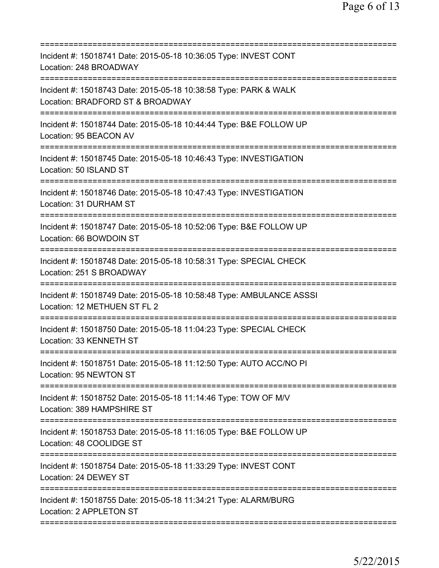| Incident #: 15018741 Date: 2015-05-18 10:36:05 Type: INVEST CONT<br>Location: 248 BROADWAY<br>===================<br>================ |
|---------------------------------------------------------------------------------------------------------------------------------------|
| Incident #: 15018743 Date: 2015-05-18 10:38:58 Type: PARK & WALK<br>Location: BRADFORD ST & BROADWAY                                  |
| Incident #: 15018744 Date: 2015-05-18 10:44:44 Type: B&E FOLLOW UP<br>Location: 95 BEACON AV                                          |
| Incident #: 15018745 Date: 2015-05-18 10:46:43 Type: INVESTIGATION<br>Location: 50 ISLAND ST                                          |
| Incident #: 15018746 Date: 2015-05-18 10:47:43 Type: INVESTIGATION<br>Location: 31 DURHAM ST                                          |
| Incident #: 15018747 Date: 2015-05-18 10:52:06 Type: B&E FOLLOW UP<br>Location: 66 BOWDOIN ST                                         |
| Incident #: 15018748 Date: 2015-05-18 10:58:31 Type: SPECIAL CHECK<br>Location: 251 S BROADWAY                                        |
| Incident #: 15018749 Date: 2015-05-18 10:58:48 Type: AMBULANCE ASSSI<br>Location: 12 METHUEN ST FL 2<br>------------                  |
| Incident #: 15018750 Date: 2015-05-18 11:04:23 Type: SPECIAL CHECK<br>Location: 33 KENNETH ST                                         |
| Incident #: 15018751 Date: 2015-05-18 11:12:50 Type: AUTO ACC/NO PI<br>Location: 95 NEWTON ST                                         |
| Incident #: 15018752 Date: 2015-05-18 11:14:46 Type: TOW OF M/V<br>Location: 389 HAMPSHIRE ST                                         |
| Incident #: 15018753 Date: 2015-05-18 11:16:05 Type: B&E FOLLOW UP<br>Location: 48 COOLIDGE ST                                        |
| Incident #: 15018754 Date: 2015-05-18 11:33:29 Type: INVEST CONT<br>Location: 24 DEWEY ST                                             |
| Incident #: 15018755 Date: 2015-05-18 11:34:21 Type: ALARM/BURG<br>Location: 2 APPLETON ST                                            |
|                                                                                                                                       |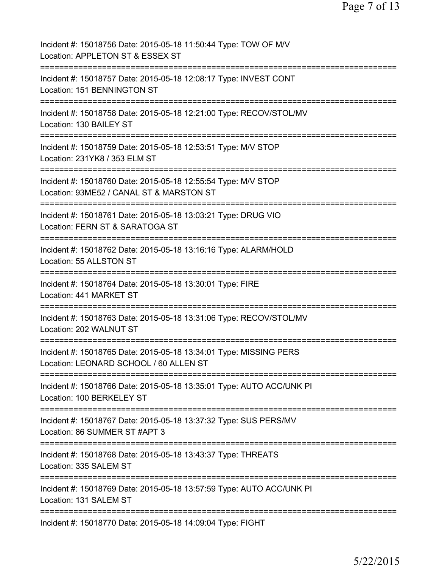| Incident #: 15018756 Date: 2015-05-18 11:50:44 Type: TOW OF M/V<br>Location: APPLETON ST & ESSEX ST                               |
|-----------------------------------------------------------------------------------------------------------------------------------|
| Incident #: 15018757 Date: 2015-05-18 12:08:17 Type: INVEST CONT<br>Location: 151 BENNINGTON ST                                   |
| Incident #: 15018758 Date: 2015-05-18 12:21:00 Type: RECOV/STOL/MV<br>Location: 130 BAILEY ST                                     |
| Incident #: 15018759 Date: 2015-05-18 12:53:51 Type: M/V STOP<br>Location: 231YK8 / 353 ELM ST                                    |
| Incident #: 15018760 Date: 2015-05-18 12:55:54 Type: M/V STOP<br>Location: 93ME52 / CANAL ST & MARSTON ST                         |
| Incident #: 15018761 Date: 2015-05-18 13:03:21 Type: DRUG VIO<br>Location: FERN ST & SARATOGA ST<br>=========                     |
| Incident #: 15018762 Date: 2015-05-18 13:16:16 Type: ALARM/HOLD<br>Location: 55 ALLSTON ST                                        |
| Incident #: 15018764 Date: 2015-05-18 13:30:01 Type: FIRE<br>Location: 441 MARKET ST<br>;===================================      |
| Incident #: 15018763 Date: 2015-05-18 13:31:06 Type: RECOV/STOL/MV<br>Location: 202 WALNUT ST<br>================================ |
| Incident #: 15018765 Date: 2015-05-18 13:34:01 Type: MISSING PERS<br>Location: LEONARD SCHOOL / 60 ALLEN ST                       |
| Incident #: 15018766 Date: 2015-05-18 13:35:01 Type: AUTO ACC/UNK PI<br>Location: 100 BERKELEY ST                                 |
| Incident #: 15018767 Date: 2015-05-18 13:37:32 Type: SUS PERS/MV<br>Location: 86 SUMMER ST #APT 3                                 |
| =============<br>Incident #: 15018768 Date: 2015-05-18 13:43:37 Type: THREATS<br>Location: 335 SALEM ST                           |
| Incident #: 15018769 Date: 2015-05-18 13:57:59 Type: AUTO ACC/UNK PI<br>Location: 131 SALEM ST                                    |
| Incident #: 15018770 Date: 2015-05-18 14:09:04 Type: FIGHT                                                                        |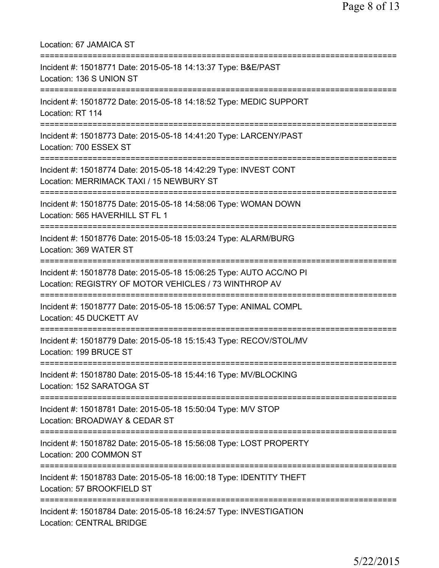| Location: 67 JAMAICA ST                                                                                                                   |
|-------------------------------------------------------------------------------------------------------------------------------------------|
| Incident #: 15018771 Date: 2015-05-18 14:13:37 Type: B&E/PAST<br>Location: 136 S UNION ST                                                 |
| Incident #: 15018772 Date: 2015-05-18 14:18:52 Type: MEDIC SUPPORT<br>Location: RT 114                                                    |
| Incident #: 15018773 Date: 2015-05-18 14:41:20 Type: LARCENY/PAST<br>Location: 700 ESSEX ST<br>==================================         |
| Incident #: 15018774 Date: 2015-05-18 14:42:29 Type: INVEST CONT<br>Location: MERRIMACK TAXI / 15 NEWBURY ST                              |
| ===================================<br>Incident #: 15018775 Date: 2015-05-18 14:58:06 Type: WOMAN DOWN<br>Location: 565 HAVERHILL ST FL 1 |
| Incident #: 15018776 Date: 2015-05-18 15:03:24 Type: ALARM/BURG<br>Location: 369 WATER ST                                                 |
| Incident #: 15018778 Date: 2015-05-18 15:06:25 Type: AUTO ACC/NO PI<br>Location: REGISTRY OF MOTOR VEHICLES / 73 WINTHROP AV              |
| Incident #: 15018777 Date: 2015-05-18 15:06:57 Type: ANIMAL COMPL<br>Location: 45 DUCKETT AV                                              |
| Incident #: 15018779 Date: 2015-05-18 15:15:43 Type: RECOV/STOL/MV<br>Location: 199 BRUCE ST                                              |
| Incident #: 15018780 Date: 2015-05-18 15:44:16 Type: MV/BLOCKING<br>Location: 152 SARATOGA ST                                             |
| Incident #: 15018781 Date: 2015-05-18 15:50:04 Type: M/V STOP<br>Location: BROADWAY & CEDAR ST                                            |
| ==========<br>Incident #: 15018782 Date: 2015-05-18 15:56:08 Type: LOST PROPERTY<br>Location: 200 COMMON ST                               |
| -------------<br>Incident #: 15018783 Date: 2015-05-18 16:00:18 Type: IDENTITY THEFT<br>Location: 57 BROOKFIELD ST                        |
| Incident #: 15018784 Date: 2015-05-18 16:24:57 Type: INVESTIGATION<br><b>Location: CENTRAL BRIDGE</b>                                     |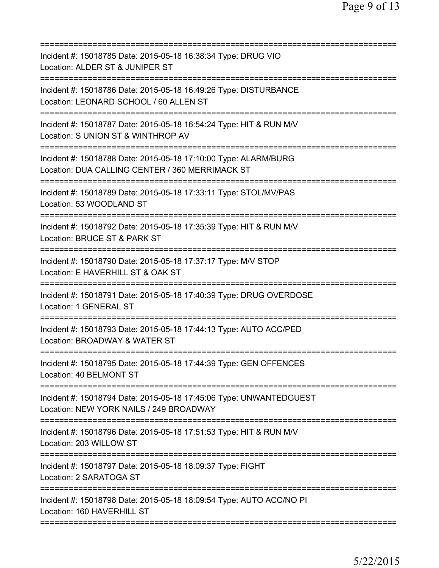| Incident #: 15018785 Date: 2015-05-18 16:38:34 Type: DRUG VIO<br>Location: ALDER ST & JUNIPER ST                                                         |
|----------------------------------------------------------------------------------------------------------------------------------------------------------|
| Incident #: 15018786 Date: 2015-05-18 16:49:26 Type: DISTURBANCE<br>Location: LEONARD SCHOOL / 60 ALLEN ST                                               |
| Incident #: 15018787 Date: 2015-05-18 16:54:24 Type: HIT & RUN M/V<br>Location: S UNION ST & WINTHROP AV                                                 |
| Incident #: 15018788 Date: 2015-05-18 17:10:00 Type: ALARM/BURG<br>Location: DUA CALLING CENTER / 360 MERRIMACK ST<br>================================== |
| Incident #: 15018789 Date: 2015-05-18 17:33:11 Type: STOL/MV/PAS<br>Location: 53 WOODLAND ST                                                             |
| Incident #: 15018792 Date: 2015-05-18 17:35:39 Type: HIT & RUN M/V<br>Location: BRUCE ST & PARK ST                                                       |
| Incident #: 15018790 Date: 2015-05-18 17:37:17 Type: M/V STOP<br>Location: E HAVERHILL ST & OAK ST                                                       |
| Incident #: 15018791 Date: 2015-05-18 17:40:39 Type: DRUG OVERDOSE<br><b>Location: 1 GENERAL ST</b>                                                      |
| Incident #: 15018793 Date: 2015-05-18 17:44:13 Type: AUTO ACC/PED<br>Location: BROADWAY & WATER ST                                                       |
| Incident #: 15018795 Date: 2015-05-18 17:44:39 Type: GEN OFFENCES<br>Location: 40 BELMONT ST                                                             |
| Incident #: 15018794 Date: 2015-05-18 17:45:06 Type: UNWANTEDGUEST<br>Location: NEW YORK NAILS / 249 BROADWAY                                            |
| Incident #: 15018796 Date: 2015-05-18 17:51:53 Type: HIT & RUN M/V<br>Location: 203 WILLOW ST                                                            |
| Incident #: 15018797 Date: 2015-05-18 18:09:37 Type: FIGHT<br>Location: 2 SARATOGA ST                                                                    |
| Incident #: 15018798 Date: 2015-05-18 18:09:54 Type: AUTO ACC/NO PI<br>Location: 160 HAVERHILL ST                                                        |
|                                                                                                                                                          |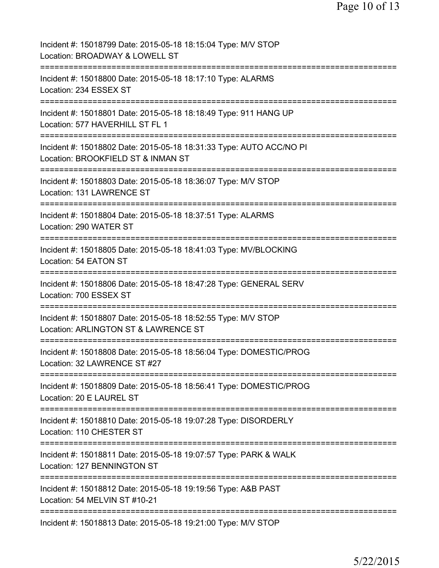| Incident #: 15018799 Date: 2015-05-18 18:15:04 Type: M/V STOP<br>Location: BROADWAY & LOWELL ST                           |
|---------------------------------------------------------------------------------------------------------------------------|
| Incident #: 15018800 Date: 2015-05-18 18:17:10 Type: ALARMS<br>Location: 234 ESSEX ST                                     |
| Incident #: 15018801 Date: 2015-05-18 18:18:49 Type: 911 HANG UP<br>Location: 577 HAVERHILL ST FL 1                       |
| Incident #: 15018802 Date: 2015-05-18 18:31:33 Type: AUTO ACC/NO PI<br>Location: BROOKFIELD ST & INMAN ST                 |
| ===========================<br>Incident #: 15018803 Date: 2015-05-18 18:36:07 Type: M/V STOP<br>Location: 131 LAWRENCE ST |
| Incident #: 15018804 Date: 2015-05-18 18:37:51 Type: ALARMS<br>Location: 290 WATER ST                                     |
| Incident #: 15018805 Date: 2015-05-18 18:41:03 Type: MV/BLOCKING<br>Location: 54 EATON ST                                 |
| Incident #: 15018806 Date: 2015-05-18 18:47:28 Type: GENERAL SERV<br>Location: 700 ESSEX ST                               |
| Incident #: 15018807 Date: 2015-05-18 18:52:55 Type: M/V STOP<br>Location: ARLINGTON ST & LAWRENCE ST                     |
| Incident #: 15018808 Date: 2015-05-18 18:56:04 Type: DOMESTIC/PROG<br>Location: 32 LAWRENCE ST #27                        |
| Incident #: 15018809 Date: 2015-05-18 18:56:41 Type: DOMESTIC/PROG<br>Location: 20 E LAUREL ST                            |
| Incident #: 15018810 Date: 2015-05-18 19:07:28 Type: DISORDERLY<br>Location: 110 CHESTER ST                               |
| Incident #: 15018811 Date: 2015-05-18 19:07:57 Type: PARK & WALK<br>Location: 127 BENNINGTON ST                           |
| Incident #: 15018812 Date: 2015-05-18 19:19:56 Type: A&B PAST<br>Location: 54 MELVIN ST #10-21                            |
| Incident #: 15018813 Date: 2015-05-18 19:21:00 Type: M/V STOP                                                             |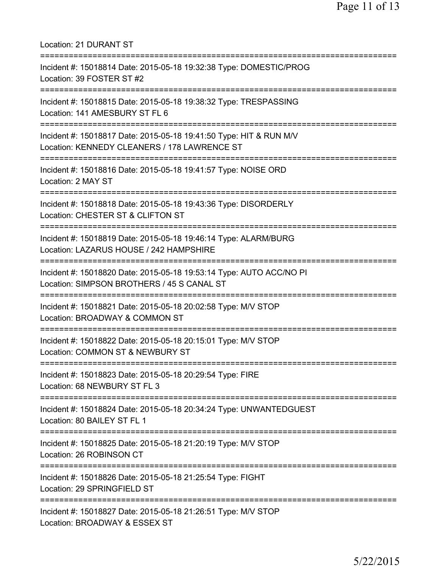| <b>Location: 21 DURANT ST</b>                                                                                               |
|-----------------------------------------------------------------------------------------------------------------------------|
| Incident #: 15018814 Date: 2015-05-18 19:32:38 Type: DOMESTIC/PROG<br>Location: 39 FOSTER ST #2<br>======================   |
| Incident #: 15018815 Date: 2015-05-18 19:38:32 Type: TRESPASSING<br>Location: 141 AMESBURY ST FL 6<br>--------------------- |
| Incident #: 15018817 Date: 2015-05-18 19:41:50 Type: HIT & RUN M/V<br>Location: KENNEDY CLEANERS / 178 LAWRENCE ST          |
| Incident #: 15018816 Date: 2015-05-18 19:41:57 Type: NOISE ORD<br>Location: 2 MAY ST                                        |
| Incident #: 15018818 Date: 2015-05-18 19:43:36 Type: DISORDERLY<br>Location: CHESTER ST & CLIFTON ST                        |
| Incident #: 15018819 Date: 2015-05-18 19:46:14 Type: ALARM/BURG<br>Location: LAZARUS HOUSE / 242 HAMPSHIRE                  |
| Incident #: 15018820 Date: 2015-05-18 19:53:14 Type: AUTO ACC/NO PI<br>Location: SIMPSON BROTHERS / 45 S CANAL ST           |
| Incident #: 15018821 Date: 2015-05-18 20:02:58 Type: M/V STOP<br>Location: BROADWAY & COMMON ST                             |
| Incident #: 15018822 Date: 2015-05-18 20:15:01 Type: M/V STOP<br>Location: COMMON ST & NEWBURY ST                           |
| Incident #: 15018823 Date: 2015-05-18 20:29:54 Type: FIRE<br>Location: 68 NEWBURY ST FL 3                                   |
| Incident #: 15018824 Date: 2015-05-18 20:34:24 Type: UNWANTEDGUEST<br>Location: 80 BAILEY ST FL 1                           |
| Incident #: 15018825 Date: 2015-05-18 21:20:19 Type: M/V STOP<br>Location: 26 ROBINSON CT                                   |
| Incident #: 15018826 Date: 2015-05-18 21:25:54 Type: FIGHT<br>Location: 29 SPRINGFIELD ST                                   |
| Incident #: 15018827 Date: 2015-05-18 21:26:51 Type: M/V STOP<br>Location: BROADWAY & ESSEX ST                              |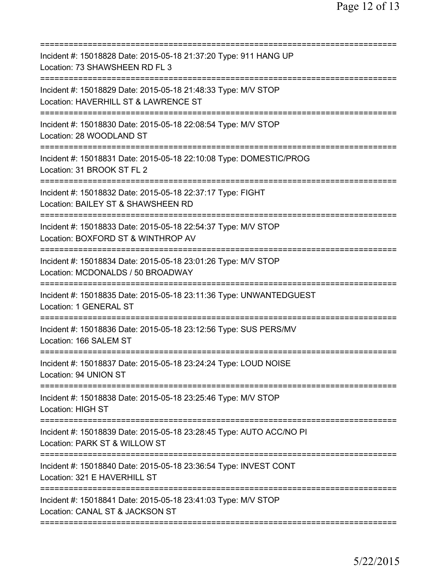| Incident #: 15018828 Date: 2015-05-18 21:37:20 Type: 911 HANG UP<br>Location: 73 SHAWSHEEN RD FL 3                                     |
|----------------------------------------------------------------------------------------------------------------------------------------|
| Incident #: 15018829 Date: 2015-05-18 21:48:33 Type: M/V STOP<br>Location: HAVERHILL ST & LAWRENCE ST                                  |
| Incident #: 15018830 Date: 2015-05-18 22:08:54 Type: M/V STOP<br>Location: 28 WOODLAND ST                                              |
| Incident #: 15018831 Date: 2015-05-18 22:10:08 Type: DOMESTIC/PROG<br>Location: 31 BROOK ST FL 2                                       |
| Incident #: 15018832 Date: 2015-05-18 22:37:17 Type: FIGHT<br>Location: BAILEY ST & SHAWSHEEN RD                                       |
| Incident #: 15018833 Date: 2015-05-18 22:54:37 Type: M/V STOP<br>Location: BOXFORD ST & WINTHROP AV<br>=============================== |
| Incident #: 15018834 Date: 2015-05-18 23:01:26 Type: M/V STOP<br>Location: MCDONALDS / 50 BROADWAY<br>==========================       |
| Incident #: 15018835 Date: 2015-05-18 23:11:36 Type: UNWANTEDGUEST<br><b>Location: 1 GENERAL ST</b>                                    |
| Incident #: 15018836 Date: 2015-05-18 23:12:56 Type: SUS PERS/MV<br>Location: 166 SALEM ST                                             |
| Incident #: 15018837 Date: 2015-05-18 23:24:24 Type: LOUD NOISE<br>Location: 94 UNION ST                                               |
| Incident #: 15018838 Date: 2015-05-18 23:25:46 Type: M/V STOP<br><b>Location: HIGH ST</b><br>================================          |
| Incident #: 15018839 Date: 2015-05-18 23:28:45 Type: AUTO ACC/NO PI<br>Location: PARK ST & WILLOW ST<br>=========================      |
| Incident #: 15018840 Date: 2015-05-18 23:36:54 Type: INVEST CONT<br>Location: 321 E HAVERHILL ST                                       |
| Incident #: 15018841 Date: 2015-05-18 23:41:03 Type: M/V STOP<br>Location: CANAL ST & JACKSON ST                                       |
|                                                                                                                                        |